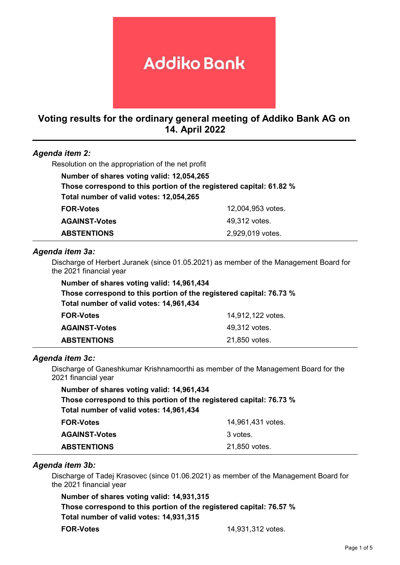# **Addiko Bank**

# Voting results for the ordinary general meeting of Addiko Bank AG on 14. April 2022

| Agenda item 2:                                    |                                                                     |
|---------------------------------------------------|---------------------------------------------------------------------|
| Resolution on the appropriation of the net profit |                                                                     |
| Number of shares voting valid: 12,054,265         |                                                                     |
|                                                   | Those correspond to this portion of the registered capital: 61.82 % |
| Total number of valid votes: 12,054,265           |                                                                     |
| <b>FOR-Votes</b>                                  | 12,004,953 votes.                                                   |
| <b>AGAINST-Votes</b>                              | 49,312 votes.                                                       |
| <b>ABSTENTIONS</b>                                | 2,929,019 votes.                                                    |

#### Agenda item 3a:

Discharge of Herbert Juranek (since 01.05.2021) as member of the Management Board for the 2021 financial year

| Number of shares voting valid: 14,961,434                           |                   |  |
|---------------------------------------------------------------------|-------------------|--|
| Those correspond to this portion of the registered capital: 76.73 % |                   |  |
| Total number of valid votes: 14,961,434                             |                   |  |
| <b>FOR-Votes</b>                                                    | 14,912,122 votes. |  |
| <b>AGAINST-Votes</b>                                                | 49,312 votes.     |  |
| <b>ABSTENTIONS</b>                                                  | 21,850 votes.     |  |

#### Agenda item 3c:

Discharge of Ganeshkumar Krishnamoorthi as member of the Management Board for the 2021 financial year

| Number of shares voting valid: 14,961,434                           |                   |
|---------------------------------------------------------------------|-------------------|
| Those correspond to this portion of the registered capital: 76.73 % |                   |
| Total number of valid votes: 14,961,434                             |                   |
| <b>FOR-Votes</b>                                                    | 14,961,431 votes. |
| <b>AGAINST-Votes</b>                                                | 3 votes.          |
| <b>ABSTENTIONS</b>                                                  | 21,850 votes.     |

#### Agenda item 3b:

Discharge of Tadej Krasovec (since 01.06.2021) as member of the Management Board for the 2021 financial year

Number of shares voting valid: 14,931,315 Those correspond to this portion of the registered capital: 76.57 % Total number of valid votes: 14,931,315 FOR-Votes 14,931,312 votes.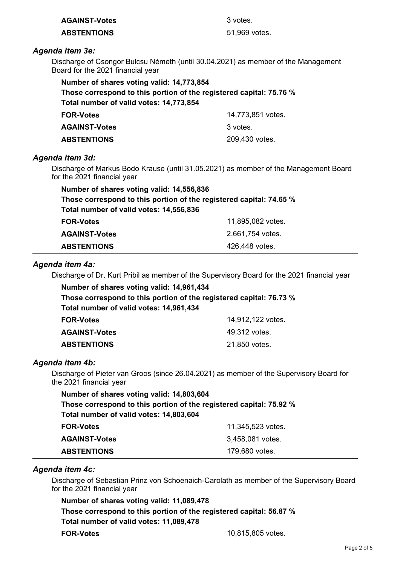| <b>AGAINST-Votes</b>                      | 3 votes.                                                                                    |
|-------------------------------------------|---------------------------------------------------------------------------------------------|
| <b>ABSTENTIONS</b>                        | 51,969 votes.                                                                               |
| Agenda item 3e:                           |                                                                                             |
| Board for the 2021 financial year         | Discharge of Csongor Bulcsu Németh (until 30.04.2021) as member of the Management           |
| Number of shares voting valid: 14,773,854 |                                                                                             |
|                                           | Those correspond to this portion of the registered capital: 75.76 %                         |
| Total number of valid votes: 14,773,854   |                                                                                             |
| <b>FOR-Votes</b>                          | 14,773,851 votes.                                                                           |
| <b>AGAINST-Votes</b>                      | 3 votes.                                                                                    |
| <b>ABSTENTIONS</b>                        | 209,430 votes.                                                                              |
| Agenda item 3d:                           |                                                                                             |
| for the 2021 financial year               | Discharge of Markus Bodo Krause (until 31.05.2021) as member of the Management Board        |
| Number of shares voting valid: 14,556,836 |                                                                                             |
|                                           | Those correspond to this portion of the registered capital: 74.65 %                         |
| Total number of valid votes: 14,556,836   |                                                                                             |
| <b>FOR-Votes</b>                          | 11,895,082 votes.                                                                           |
| <b>AGAINST-Votes</b>                      | 2,661,754 votes.                                                                            |
| <b>ABSTENTIONS</b>                        | 426,448 votes.                                                                              |
| Agenda item 4a:                           |                                                                                             |
|                                           | Discharge of Dr. Kurt Pribil as member of the Supervisory Board for the 2021 financial year |
| Number of shares voting valid: 14,961,434 |                                                                                             |
|                                           | Those correspond to this portion of the registered capital: 76.73 %                         |
| Total number of valid votes: 14,961,434   |                                                                                             |
| <b>FOR-Votes</b>                          | 14,912,122 votes.                                                                           |

| .                    | . .,          |
|----------------------|---------------|
| <b>AGAINST-Votes</b> | 49,312 votes. |
| <b>ABSTENTIONS</b>   | 21,850 votes. |

# Agenda item 4b:

Discharge of Pieter van Groos (since 26.04.2021) as member of the Supervisory Board for the 2021 financial year

| Number of shares voting valid: 14,803,604 |                                                                     |  |
|-------------------------------------------|---------------------------------------------------------------------|--|
|                                           | Those correspond to this portion of the registered capital: 75.92 % |  |
| Total number of valid votes: 14,803,604   |                                                                     |  |
| <b>FOR-Votes</b>                          | 11,345,523 votes.                                                   |  |
| <b>AGAINST-Votes</b>                      | 3,458,081 votes.                                                    |  |
| <b>ABSTENTIONS</b>                        | 179,680 votes.                                                      |  |

# Agenda item 4c:

Discharge of Sebastian Prinz von Schoenaich-Carolath as member of the Supervisory Board for the 2021 financial year

Number of shares voting valid: 11,089,478 Those correspond to this portion of the registered capital: 56.87 % Total number of valid votes: 11,089,478 FOR-Votes 10,815,805 votes.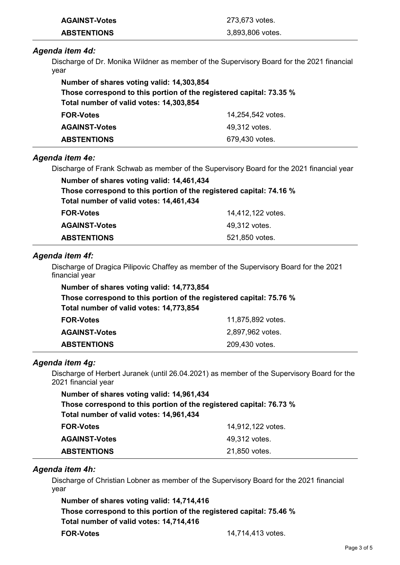| <b>AGAINST-Votes</b> | 273,673 votes.   |
|----------------------|------------------|
| <b>ABSTENTIONS</b>   | 3,893,806 votes. |

### Agenda item 4d:

Discharge of Dr. Monika Wildner as member of the Supervisory Board for the 2021 financial year

| Number of shares voting valid: 14,303,854                           |                   |  |
|---------------------------------------------------------------------|-------------------|--|
| Those correspond to this portion of the registered capital: 73.35 % |                   |  |
| Total number of valid votes: 14,303,854                             |                   |  |
| <b>FOR-Votes</b>                                                    | 14,254,542 votes. |  |
| <b>AGAINST-Votes</b>                                                | 49,312 votes.     |  |
| <b>ABSTENTIONS</b>                                                  | 679,430 votes.    |  |

## Agenda item 4e:

Discharge of Frank Schwab as member of the Supervisory Board for the 2021 financial year

| Number of shares voting valid: 14,461,434                           |                   |  |
|---------------------------------------------------------------------|-------------------|--|
| Those correspond to this portion of the registered capital: 74.16 % |                   |  |
| Total number of valid votes: 14,461,434                             |                   |  |
| <b>FOR-Votes</b>                                                    | 14,412,122 votes. |  |
| <b>AGAINST-Votes</b>                                                | 49,312 votes.     |  |
| <b>ABSTENTIONS</b>                                                  | 521,850 votes.    |  |

## Agenda item 4f:

Discharge of Dragica Pilipovic Chaffey as member of the Supervisory Board for the 2021 financial year

| Number of shares voting valid: 14,773,854                           |                   |  |
|---------------------------------------------------------------------|-------------------|--|
| Those correspond to this portion of the registered capital: 75.76 % |                   |  |
| Total number of valid votes: 14,773,854                             |                   |  |
| <b>FOR-Votes</b>                                                    | 11,875,892 votes. |  |
| <b>AGAINST-Votes</b>                                                | 2,897,962 votes.  |  |
| <b>ABSTENTIONS</b>                                                  | 209,430 votes.    |  |

#### Agenda item 4g:

Discharge of Herbert Juranek (until 26.04.2021) as member of the Supervisory Board for the 2021 financial year

| Number of shares voting valid: 14,961,434 |                                                                     |
|-------------------------------------------|---------------------------------------------------------------------|
|                                           | Those correspond to this portion of the registered capital: 76.73 % |
| Total number of valid votes: 14,961,434   |                                                                     |
| <b>FOR-Votes</b>                          | 14,912,122 votes.                                                   |
| <b>AGAINST-Votes</b>                      | 49,312 votes.                                                       |
| <b>ABSTENTIONS</b>                        | 21,850 votes.                                                       |

#### Agenda item 4h:

Discharge of Christian Lobner as member of the Supervisory Board for the 2021 financial year

Number of shares voting valid: 14,714,416 Those correspond to this portion of the registered capital: 75.46 % Total number of valid votes: 14,714,416 FOR-Votes 14,714,413 votes.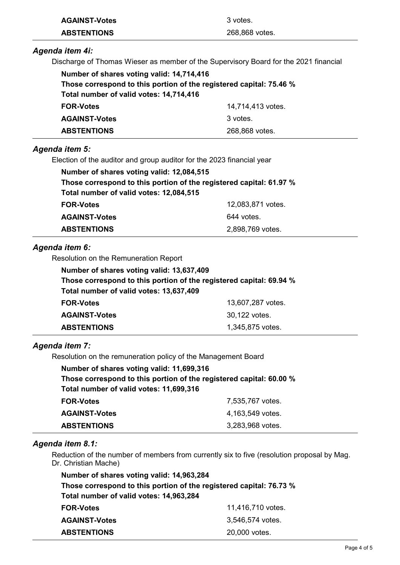| <b>AGAINST-Votes</b> | 3 votes.       |
|----------------------|----------------|
| <b>ABSTENTIONS</b>   | 268,868 votes. |

# Agenda item 4i:

Discharge of Thomas Wieser as member of the Supervisory Board for the 2021 financial

| Number of shares voting valid: 14,714,416                           |                   |
|---------------------------------------------------------------------|-------------------|
| Those correspond to this portion of the registered capital: 75.46 % |                   |
| Total number of valid votes: 14,714,416                             |                   |
| <b>FOR-Votes</b>                                                    | 14,714,413 votes. |
| <b>AGAINST-Votes</b>                                                | 3 votes.          |
| <b>ABSTENTIONS</b>                                                  | 268,868 votes.    |

## Agenda item 5:

Election of the auditor and group auditor for the 2023 financial year

| Number of shares voting valid: 12,084,515                           |                   |
|---------------------------------------------------------------------|-------------------|
| Those correspond to this portion of the registered capital: 61.97 % |                   |
| Total number of valid votes: 12,084,515                             |                   |
| <b>FOR-Votes</b>                                                    | 12,083,871 votes. |
| <b>AGAINST-Votes</b>                                                | 644 votes.        |
| <b>ABSTENTIONS</b>                                                  | 2,898,769 votes.  |

# Agenda item 6:

Resolution on the Remuneration Report

| Number of shares voting valid: 13,637,409                           |                   |
|---------------------------------------------------------------------|-------------------|
| Those correspond to this portion of the registered capital: 69.94 % |                   |
| Total number of valid votes: 13,637,409                             |                   |
| <b>FOR-Votes</b>                                                    | 13,607,287 votes. |
| <b>AGAINST-Votes</b>                                                | 30,122 votes.     |
| <b>ABSTENTIONS</b>                                                  | 1,345,875 votes.  |

# Agenda item 7:

Resolution on the remuneration policy of the Management Board

| Number of shares voting valid: 11,699,316                           |                  |
|---------------------------------------------------------------------|------------------|
| Those correspond to this portion of the registered capital: 60.00 % |                  |
| Total number of valid votes: 11,699,316                             |                  |
| <b>FOR-Votes</b>                                                    | 7,535,767 votes. |
| <b>AGAINST-Votes</b>                                                | 4,163,549 votes. |
| <b>ABSTENTIONS</b>                                                  | 3,283,968 votes. |

#### Agenda item 8.1:

Reduction of the number of members from currently six to five (resolution proposal by Mag. Dr. Christian Mache)

| Number of shares voting valid: 14,963,284                                                                      |                  |
|----------------------------------------------------------------------------------------------------------------|------------------|
| Those correspond to this portion of the registered capital: 76.73 %<br>Total number of valid votes: 14,963,284 |                  |
|                                                                                                                |                  |
| <b>AGAINST-Votes</b>                                                                                           | 3,546,574 votes. |
| <b>ABSTENTIONS</b>                                                                                             | 20,000 votes.    |